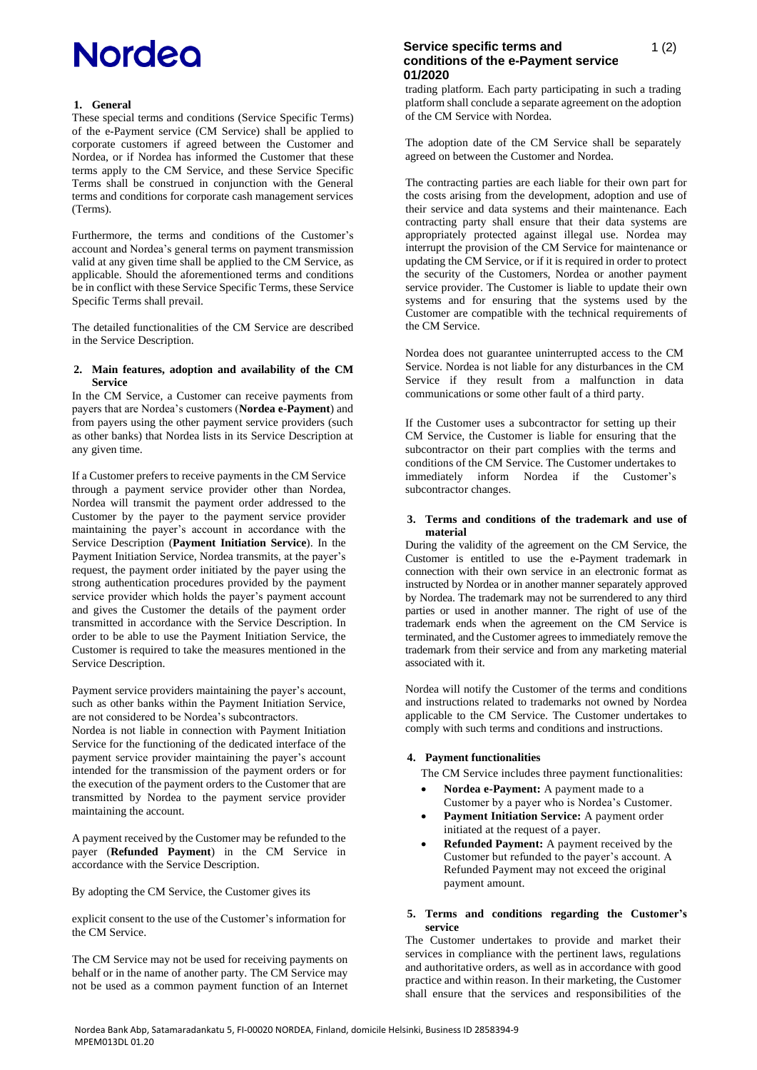## **Nordeo**

## **1. General**

These special terms and conditions (Service Specific Terms) of the e-Payment service (CM Service) shall be applied to corporate customers if agreed between the Customer and Nordea, or if Nordea has informed the Customer that these terms apply to the CM Service, and these Service Specific Terms shall be construed in conjunction with the General terms and conditions for corporate cash management services (Terms).

Furthermore, the terms and conditions of the Customer's account and Nordea's general terms on payment transmission valid at any given time shall be applied to the CM Service, as applicable. Should the aforementioned terms and conditions be in conflict with these Service Specific Terms, these Service Specific Terms shall prevail.

The detailed functionalities of the CM Service are described in the Service Description.

### **2. Main features, adoption and availability of the CM Service**

In the CM Service, a Customer can receive payments from payers that are Nordea's customers (**Nordea e-Payment**) and from payers using the other payment service providers (such as other banks) that Nordea lists in its Service Description at any given time.

If a Customer prefers to receive payments in the CM Service through a payment service provider other than Nordea, Nordea will transmit the payment order addressed to the Customer by the payer to the payment service provider maintaining the payer's account in accordance with the Service Description (**Payment Initiation Service**). In the Payment Initiation Service, Nordea transmits, at the payer's request, the payment order initiated by the payer using the strong authentication procedures provided by the payment service provider which holds the payer's payment account and gives the Customer the details of the payment order transmitted in accordance with the Service Description. In order to be able to use the Payment Initiation Service, the Customer is required to take the measures mentioned in the Service Description.

Payment service providers maintaining the payer's account, such as other banks within the Payment Initiation Service, are not considered to be Nordea's subcontractors.

Nordea is not liable in connection with Payment Initiation Service for the functioning of the dedicated interface of the payment service provider maintaining the payer's account intended for the transmission of the payment orders or for the execution of the payment orders to the Customer that are transmitted by Nordea to the payment service provider maintaining the account.

A payment received by the Customer may be refunded to the payer (**Refunded Payment**) in the CM Service in accordance with the Service Description.

By adopting the CM Service, the Customer gives its

explicit consent to the use of the Customer's information for the CM Service.

The CM Service may not be used for receiving payments on behalf or in the name of another party. The CM Service may not be used as a common payment function of an Internet

## **Service specific terms and conditions of the e-Payment service 01/2020**

trading platform. Each party participating in such a trading platform shall conclude a separate agreement on the adoption of the CM Service with Nordea.

The adoption date of the CM Service shall be separately agreed on between the Customer and Nordea.

The contracting parties are each liable for their own part for the costs arising from the development, adoption and use of their service and data systems and their maintenance. Each contracting party shall ensure that their data systems are appropriately protected against illegal use. Nordea may interrupt the provision of the CM Service for maintenance or updating the CM Service, or if it is required in order to protect the security of the Customers, Nordea or another payment service provider. The Customer is liable to update their own systems and for ensuring that the systems used by the Customer are compatible with the technical requirements of the CM Service.

Nordea does not guarantee uninterrupted access to the CM Service. Nordea is not liable for any disturbances in the CM Service if they result from a malfunction in data communications or some other fault of a third party.

If the Customer uses a subcontractor for setting up their CM Service, the Customer is liable for ensuring that the subcontractor on their part complies with the terms and conditions of the CM Service. The Customer undertakes to immediately inform Nordea if the Customer's subcontractor changes.

### **3. Terms and conditions of the trademark and use of material**

During the validity of the agreement on the CM Service, the Customer is entitled to use the e-Payment trademark in connection with their own service in an electronic format as instructed by Nordea or in another manner separately approved by Nordea. The trademark may not be surrendered to any third parties or used in another manner. The right of use of the trademark ends when the agreement on the CM Service is terminated, and the Customer agrees to immediately remove the trademark from their service and from any marketing material associated with it.

Nordea will notify the Customer of the terms and conditions and instructions related to trademarks not owned by Nordea applicable to the CM Service. The Customer undertakes to comply with such terms and conditions and instructions.

### **4. Payment functionalities**

The CM Service includes three payment functionalities:

- **Nordea e-Payment:** A payment made to a Customer by a payer who is Nordea's Customer.
- **Payment Initiation Service:** A payment order initiated at the request of a payer.
- **Refunded Payment:** A payment received by the Customer but refunded to the payer's account. A Refunded Payment may not exceed the original payment amount.

### **5. Terms and conditions regarding the Customer's service**

The Customer undertakes to provide and market their services in compliance with the pertinent laws, regulations and authoritative orders, as well as in accordance with good practice and within reason. In their marketing, the Customer shall ensure that the services and responsibilities of the